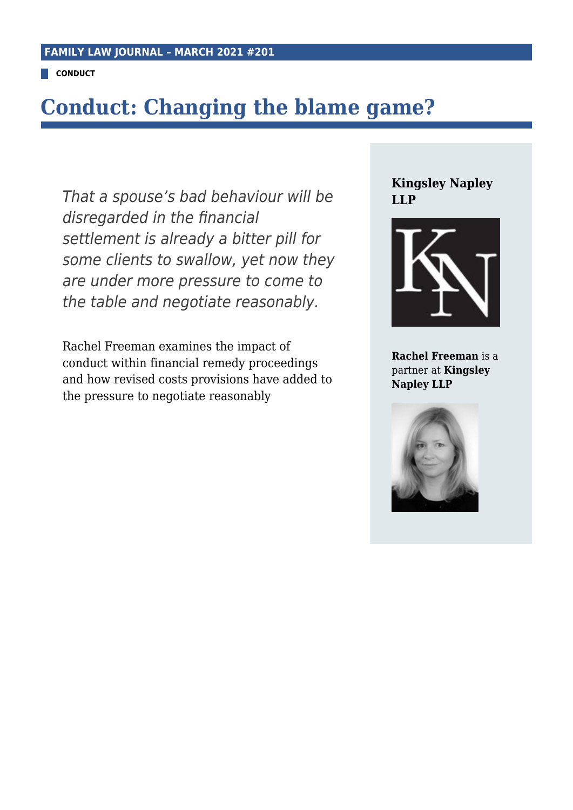**CONDUCT**

## **Conduct: Changing the blame game?**

That a spouse's bad behaviour will be disregarded in the financial settlement is already a bitter pill for some clients to swallow, yet now they are under more pressure to come to the table and negotiate reasonably.

Rachel Freeman examines the impact of conduct within financial remedy proceedings and how revised costs provisions have added to the pressure to negotiate reasonably

**Kingsley Napley LLP**



**Rachel Freeman** is a partner at **Kingsley Napley LLP**

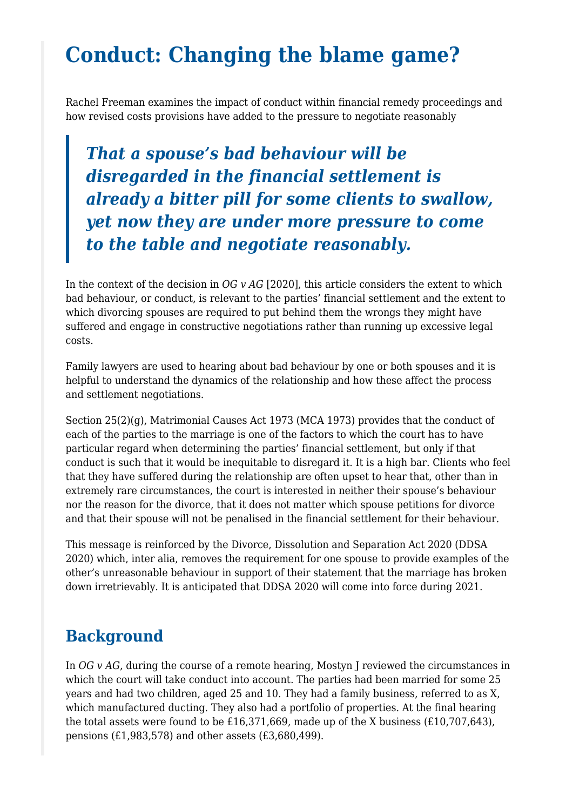# **Conduct: Changing the blame game?**

Rachel Freeman examines the impact of conduct within financial remedy proceedings and how revised costs provisions have added to the pressure to negotiate reasonably

*That a spouse's bad behaviour will be disregarded in the financial settlement is already a bitter pill for some clients to swallow, yet now they are under more pressure to come to the table and negotiate reasonably.*

In the context of the decision in *OG v AG* [2020], this article considers the extent to which bad behaviour, or conduct, is relevant to the parties' financial settlement and the extent to which divorcing spouses are required to put behind them the wrongs they might have suffered and engage in constructive negotiations rather than running up excessive legal costs.

Family lawyers are used to hearing about bad behaviour by one or both spouses and it is helpful to understand the dynamics of the relationship and how these affect the process and settlement negotiations.

Section 25(2)(g), Matrimonial Causes Act 1973 (MCA 1973) provides that the conduct of each of the parties to the marriage is one of the factors to which the court has to have particular regard when determining the parties' financial settlement, but only if that conduct is such that it would be inequitable to disregard it. It is a high bar. Clients who feel that they have suffered during the relationship are often upset to hear that, other than in extremely rare circumstances, the court is interested in neither their spouse's behaviour nor the reason for the divorce, that it does not matter which spouse petitions for divorce and that their spouse will not be penalised in the financial settlement for their behaviour.

This message is reinforced by the Divorce, Dissolution and Separation Act 2020 (DDSA 2020) which, inter alia, removes the requirement for one spouse to provide examples of the other's unreasonable behaviour in support of their statement that the marriage has broken down irretrievably. It is anticipated that DDSA 2020 will come into force during 2021.

### **Background**

In *OG* v *AG*, during the course of a remote hearing, Mostyn J reviewed the circumstances in which the court will take conduct into account. The parties had been married for some 25 years and had two children, aged 25 and 10. They had a family business, referred to as X, which manufactured ducting. They also had a portfolio of properties. At the final hearing the total assets were found to be £16,371,669, made up of the X business (£10,707,643), pensions (£1,983,578) and other assets (£3,680,499).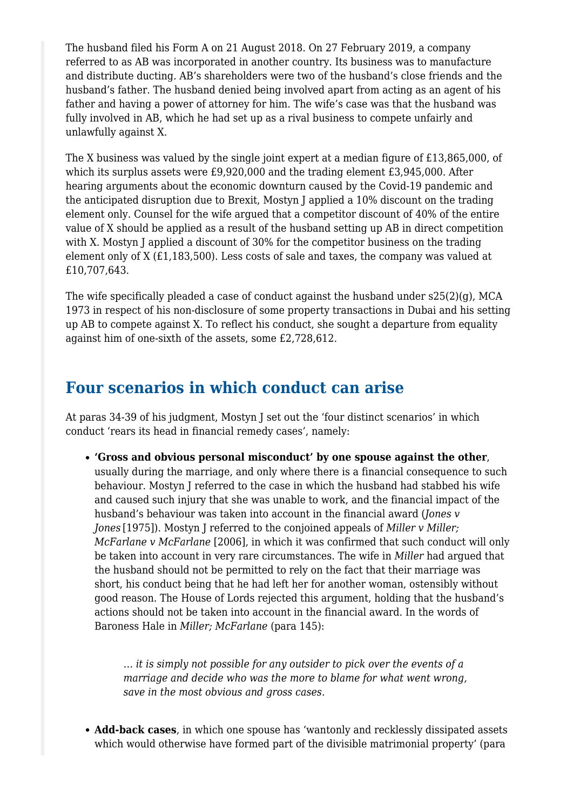The husband filed his Form A on 21 August 2018. On 27 February 2019, a company referred to as AB was incorporated in another country. Its business was to manufacture and distribute ducting. AB's shareholders were two of the husband's close friends and the husband's father. The husband denied being involved apart from acting as an agent of his father and having a power of attorney for him. The wife's case was that the husband was fully involved in AB, which he had set up as a rival business to compete unfairly and unlawfully against X.

The X business was valued by the single joint expert at a median figure of £13,865,000, of which its surplus assets were £9,920,000 and the trading element £3,945,000. After hearing arguments about the economic downturn caused by the Covid-19 pandemic and the anticipated disruption due to Brexit, Mostyn J applied a 10% discount on the trading element only. Counsel for the wife argued that a competitor discount of 40% of the entire value of X should be applied as a result of the husband setting up AB in direct competition with X. Mostyn J applied a discount of 30% for the competitor business on the trading element only of X (£1,183,500). Less costs of sale and taxes, the company was valued at £10,707,643.

The wife specifically pleaded a case of conduct against the husband under  $s25(2)(q)$ , MCA 1973 in respect of his non-disclosure of some property transactions in Dubai and his setting up AB to compete against X. To reflect his conduct, she sought a departure from equality against him of one-sixth of the assets, some £2,728,612.

#### **Four scenarios in which conduct can arise**

At paras 34-39 of his judgment, Mostyn J set out the 'four distinct scenarios' in which conduct 'rears its head in financial remedy cases', namely:

**'Gross and obvious personal misconduct' by one spouse against the other**, usually during the marriage, and only where there is a financial consequence to such behaviour. Mostyn J referred to the case in which the husband had stabbed his wife and caused such injury that she was unable to work, and the financial impact of the husband's behaviour was taken into account in the financial award (*Jones v Jones* [1975]). Mostyn J referred to the conjoined appeals of *Miller v Miller; McFarlane v McFarlane* [2006], in which it was confirmed that such conduct will only be taken into account in very rare circumstances. The wife in *Miller* had argued that the husband should not be permitted to rely on the fact that their marriage was short, his conduct being that he had left her for another woman, ostensibly without good reason. The House of Lords rejected this argument, holding that the husband's actions should not be taken into account in the financial award. In the words of Baroness Hale in *Miller; McFarlane* (para 145):

*… it is simply not possible for any outsider to pick over the events of a marriage and decide who was the more to blame for what went wrong, save in the most obvious and gross cases.*

**Add-back cases**, in which one spouse has 'wantonly and recklessly dissipated assets which would otherwise have formed part of the divisible matrimonial property' (para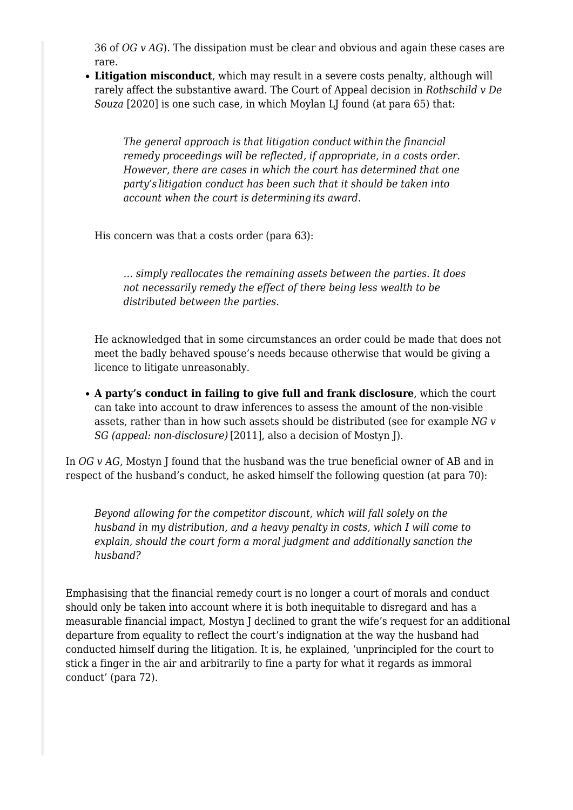36 of *OG v AG*). The dissipation must be clear and obvious and again these cases are rare.

**Litigation misconduct**, which may result in a severe costs penalty, although will rarely affect the substantive award. The Court of Appeal decision in *Rothschild v De Souza* [2020] is one such case, in which Moylan LJ found (at para 65) that:

*The general approach is that litigation conduct within the financial remedy proceedings will be reflected, if appropriate, in a costs order. However, there are cases in which the court has determined that one party's litigation conduct has been such that it should be taken into account when the court is determining its award.*

His concern was that a costs order (para 63):

*… simply reallocates the remaining assets between the parties. It does not necessarily remedy the effect of there being less wealth to be distributed between the parties.*

He acknowledged that in some circumstances an order could be made that does not meet the badly behaved spouse's needs because otherwise that would be giving a licence to litigate unreasonably.

**A party's conduct in failing to give full and frank disclosure**, which the court can take into account to draw inferences to assess the amount of the non-visible assets, rather than in how such assets should be distributed (see for example *NG v SG (appeal: non-disclosure)* [2011], also a decision of Mostyn J).

In *OG v AG*, Mostyn J found that the husband was the true beneficial owner of AB and in respect of the husband's conduct, he asked himself the following question (at para 70):

*Beyond allowing for the competitor discount, which will fall solely on the husband in my distribution, and a heavy penalty in costs, which I will come to explain, should the court form a moral judgment and additionally sanction the husband?*

Emphasising that the financial remedy court is no longer a court of morals and conduct should only be taken into account where it is both inequitable to disregard and has a measurable financial impact, Mostyn J declined to grant the wife's request for an additional departure from equality to reflect the court's indignation at the way the husband had conducted himself during the litigation. It is, he explained, 'unprincipled for the court to stick a finger in the air and arbitrarily to fine a party for what it regards as immoral conduct' (para 72).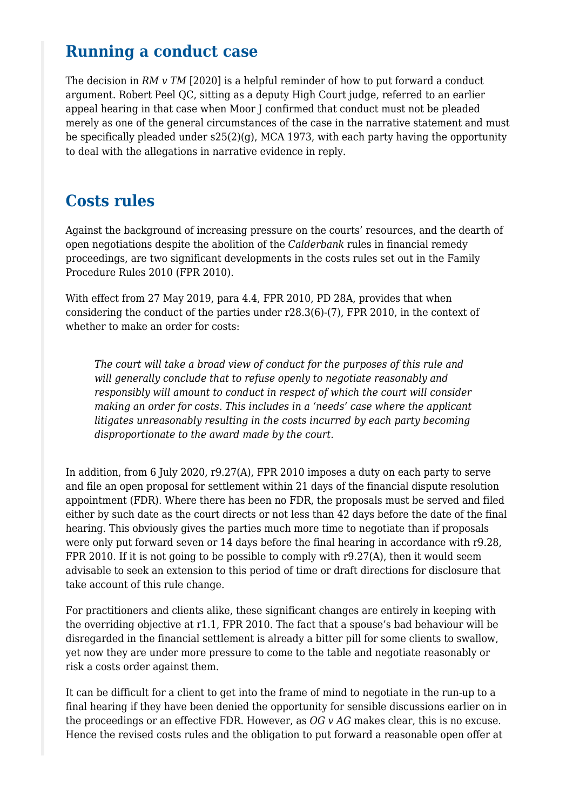### **Running a conduct case**

The decision in *RM v TM* [2020] is a helpful reminder of how to put forward a conduct argument. Robert Peel QC, sitting as a deputy High Court judge, referred to an earlier appeal hearing in that case when Moor J confirmed that conduct must not be pleaded merely as one of the general circumstances of the case in the narrative statement and must be specifically pleaded under  $s25(2)(g)$ , MCA 1973, with each party having the opportunity to deal with the allegations in narrative evidence in reply.

### **Costs rules**

Against the background of increasing pressure on the courts' resources, and the dearth of open negotiations despite the abolition of the *Calderbank* rules in financial remedy proceedings, are two significant developments in the costs rules set out in the Family Procedure Rules 2010 (FPR 2010).

With effect from 27 May 2019, para 4.4, FPR 2010, PD 28A, provides that when considering the conduct of the parties under r28.3(6)-(7), FPR 2010, in the context of whether to make an order for costs:

*The court will take a broad view of conduct for the purposes of this rule and will generally conclude that to refuse openly to negotiate reasonably and responsibly will amount to conduct in respect of which the court will consider making an order for costs. This includes in a 'needs' case where the applicant litigates unreasonably resulting in the costs incurred by each party becoming disproportionate to the award made by the court.*

In addition, from 6 July 2020, r9.27(A), FPR 2010 imposes a duty on each party to serve and file an open proposal for settlement within 21 days of the financial dispute resolution appointment (FDR). Where there has been no FDR, the proposals must be served and filed either by such date as the court directs or not less than 42 days before the date of the final hearing. This obviously gives the parties much more time to negotiate than if proposals were only put forward seven or 14 days before the final hearing in accordance with r9.28, FPR 2010. If it is not going to be possible to comply with r9.27(A), then it would seem advisable to seek an extension to this period of time or draft directions for disclosure that take account of this rule change.

For practitioners and clients alike, these significant changes are entirely in keeping with the overriding objective at r1.1, FPR 2010. The fact that a spouse's bad behaviour will be disregarded in the financial settlement is already a bitter pill for some clients to swallow, yet now they are under more pressure to come to the table and negotiate reasonably or risk a costs order against them.

It can be difficult for a client to get into the frame of mind to negotiate in the run-up to a final hearing if they have been denied the opportunity for sensible discussions earlier on in the proceedings or an effective FDR. However, as *OG v AG* makes clear, this is no excuse. Hence the revised costs rules and the obligation to put forward a reasonable open offer at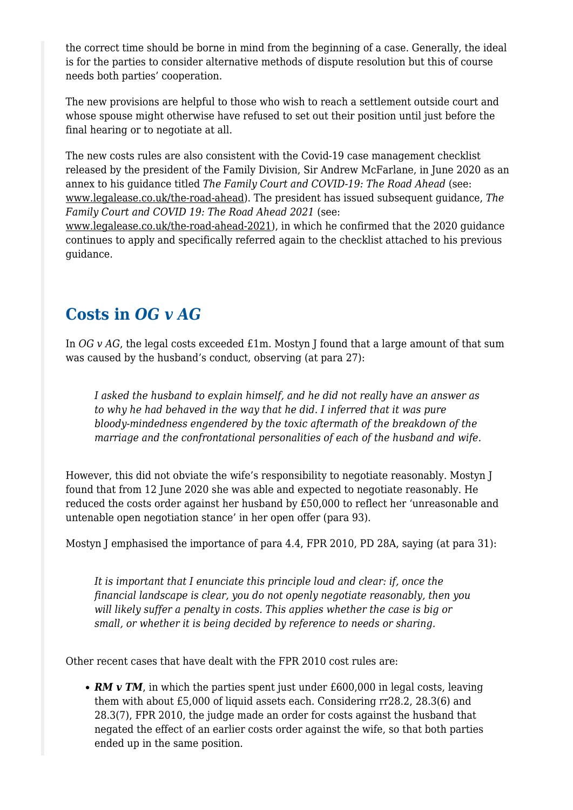the correct time should be borne in mind from the beginning of a case. Generally, the ideal is for the parties to consider alternative methods of dispute resolution but this of course needs both parties' cooperation.

The new provisions are helpful to those who wish to reach a settlement outside court and whose spouse might otherwise have refused to set out their position until just before the final hearing or to negotiate at all.

The new costs rules are also consistent with the Covid-19 case management checklist released by the president of the Family Division, Sir Andrew McFarlane, in June 2020 as an annex to his guidance titled *The Family Court and COVID-19: The Road Ahead* (see: [www.legalease.co.uk/the-road-ahead\)](http://www.legalease.co.uk/the-road-ahead). The president has issued subsequent guidance, *The Family Court and COVID 19: The Road Ahead 2021* (see:

[www.legalease.co.uk/the-road-ahead-2021](http://www.legalease.co.uk/the-road-ahead-2021)), in which he confirmed that the 2020 guidance continues to apply and specifically referred again to the checklist attached to his previous guidance.

#### **Costs in** *OG v AG*

In *OG* v *AG*, the legal costs exceeded £1m. Mostyn I found that a large amount of that sum was caused by the husband's conduct, observing (at para 27):

*I asked the husband to explain himself, and he did not really have an answer as to why he had behaved in the way that he did. I inferred that it was pure bloody-mindedness engendered by the toxic aftermath of the breakdown of the marriage and the confrontational personalities of each of the husband and wife.*

However, this did not obviate the wife's responsibility to negotiate reasonably. Mostyn J found that from 12 June 2020 she was able and expected to negotiate reasonably. He reduced the costs order against her husband by £50,000 to reflect her 'unreasonable and untenable open negotiation stance' in her open offer (para 93).

Mostyn J emphasised the importance of para 4.4, FPR 2010, PD 28A, saying (at para 31):

*It is important that I enunciate this principle loud and clear: if, once the financial landscape is clear, you do not openly negotiate reasonably, then you will likely suffer a penalty in costs. This applies whether the case is big or small, or whether it is being decided by reference to needs or sharing.*

Other recent cases that have dealt with the FPR 2010 cost rules are:

• **RM v TM**, in which the parties spent just under £600,000 in legal costs, leaving them with about £5,000 of liquid assets each. Considering rr28.2, 28.3(6) and 28.3(7), FPR 2010, the judge made an order for costs against the husband that negated the effect of an earlier costs order against the wife, so that both parties ended up in the same position.